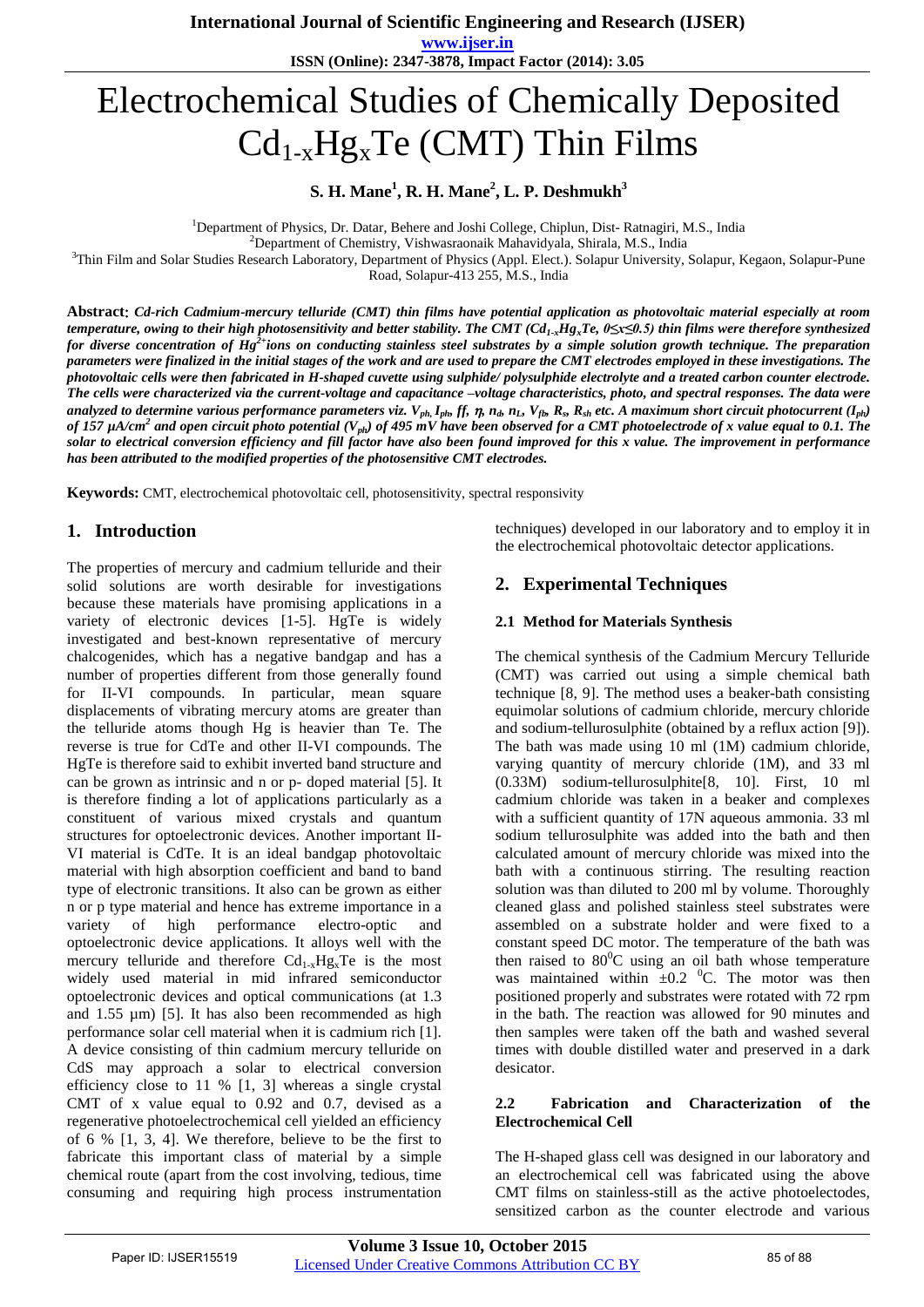**International Journal of Scientific Engineering and Research (IJSER)** 

**www.ijser.in ISSN (Online): 2347-3878, Impact Factor (2014): 3.05**

# Electrochemical Studies of Chemically Deposited  $Cd_{1-x}Hg_xTe$  (CMT) Thin Films

## **S. H. Mane<sup>1</sup> , R. H. Mane<sup>2</sup> , L. P. Deshmukh<sup>3</sup>**

<sup>1</sup>Department of Physics, Dr. Datar, Behere and Joshi College, Chiplun, Dist- Ratnagiri, M.S., India

<sup>2</sup>Department of Chemistry, Vishwasraonaik Mahavidyala, Shirala, M.S., India

<sup>3</sup>Thin Film and Solar Studies Research Laboratory, Department of Physics (Appl. Elect.). Solapur University, Solapur, Kegaon, Solapur-Pune Road, Solapur-413 255, M.S., India

**Abstract** *Cd-rich Cadmium-mercury telluride (CMT) thin films have potential application as photovoltaic material especially at room temperature, owing to their high photosensitivity and better stability. The CMT (Cd1-xHgxTe, 0≤x≤0.5) thin films were therefore synthesized for diverse concentration of Hg2+ions on conducting stainless steel substrates by a simple solution growth technique. The preparation parameters were finalized in the initial stages of the work and are used to prepare the CMT electrodes employed in these investigations. The photovoltaic cells were then fabricated in H-shaped cuvette using sulphide/ polysulphide electrolyte and a treated carbon counter electrode. The cells were characterized via the current-voltage and capacitance –voltage characteristics, photo, and spectral responses. The data were*  analyzed to determine various performance parameters viz. V<sub>ph,</sub> I<sub>ph</sub>, ff,  $\eta$ , n<sub>d</sub>, n<sub>L</sub>, V<sub>fb</sub>, R<sub>s</sub>, R<sub>sh</sub> etc. A maximum short circuit photocurrent (I<sub>ph</sub>) *of 157 µA/cm<sup>2</sup> and open circuit photo potential (Vph) of 495 mV have been observed for a CMT photoelectrode of x value equal to 0.1. The solar to electrical conversion efficiency and fill factor have also been found improved for this x value. The improvement in performance has been attributed to the modified properties of the photosensitive CMT electrodes.*

**Keywords:** CMT, electrochemical photovoltaic cell, photosensitivity, spectral responsivity

## **1. Introduction**

The properties of mercury and cadmium telluride and their solid solutions are worth desirable for investigations because these materials have promising applications in a variety of electronic devices [1-5]. HgTe is widely investigated and best-known representative of mercury chalcogenides, which has a negative bandgap and has a number of properties different from those generally found for II-VI compounds. In particular, mean square displacements of vibrating mercury atoms are greater than the telluride atoms though Hg is heavier than Te. The reverse is true for CdTe and other II-VI compounds. The HgTe is therefore said to exhibit inverted band structure and can be grown as intrinsic and n or p- doped material [5]. It is therefore finding a lot of applications particularly as a constituent of various mixed crystals and quantum structures for optoelectronic devices. Another important II-VI material is CdTe. It is an ideal bandgap photovoltaic material with high absorption coefficient and band to band type of electronic transitions. It also can be grown as either n or p type material and hence has extreme importance in a variety of high performance electro-optic and optoelectronic device applications. It alloys well with the mercury telluride and therefore  $Cd_{1-x}Hg_xTe$  is the most widely used material in mid infrared semiconductor optoelectronic devices and optical communications (at 1.3 and 1.55 µm) [5]. It has also been recommended as high performance solar cell material when it is cadmium rich [1]. A device consisting of thin cadmium mercury telluride on CdS may approach a solar to electrical conversion efficiency close to 11 % [1, 3] whereas a single crystal CMT of x value equal to 0.92 and 0.7, devised as a regenerative photoelectrochemical cell yielded an efficiency of 6 % [1, 3, 4]. We therefore, believe to be the first to fabricate this important class of material by a simple chemical route (apart from the cost involving, tedious, time consuming and requiring high process instrumentation

techniques) developed in our laboratory and to employ it in the electrochemical photovoltaic detector applications.

## **2. Experimental Techniques**

#### **2.1 Method for Materials Synthesis**

The chemical synthesis of the Cadmium Mercury Telluride (CMT) was carried out using a simple chemical bath technique [8, 9]. The method uses a beaker-bath consisting equimolar solutions of cadmium chloride, mercury chloride and sodium-tellurosulphite (obtained by a reflux action [9]). The bath was made using 10 ml (1M) cadmium chloride, varying quantity of mercury chloride (1M), and 33 ml (0.33M) sodium-tellurosulphite[8, 10]. First, 10 ml cadmium chloride was taken in a beaker and complexes with a sufficient quantity of 17N aqueous ammonia. 33 ml sodium tellurosulphite was added into the bath and then calculated amount of mercury chloride was mixed into the bath with a continuous stirring. The resulting reaction solution was than diluted to 200 ml by volume. Thoroughly cleaned glass and polished stainless steel substrates were assembled on a substrate holder and were fixed to a constant speed DC motor. The temperature of the bath was then raised to  $80^{\circ}$ C using an oil bath whose temperature was maintained within  $\pm 0.2$  <sup>0</sup>C. The motor was then positioned properly and substrates were rotated with 72 rpm in the bath. The reaction was allowed for 90 minutes and then samples were taken off the bath and washed several times with double distilled water and preserved in a dark desicator.

#### **2.2 Fabrication and Characterization of the Electrochemical Cell**

The H-shaped glass cell was designed in our laboratory and an electrochemical cell was fabricated using the above CMT films on stainless-still as the active photoelectodes, sensitized carbon as the counter electrode and various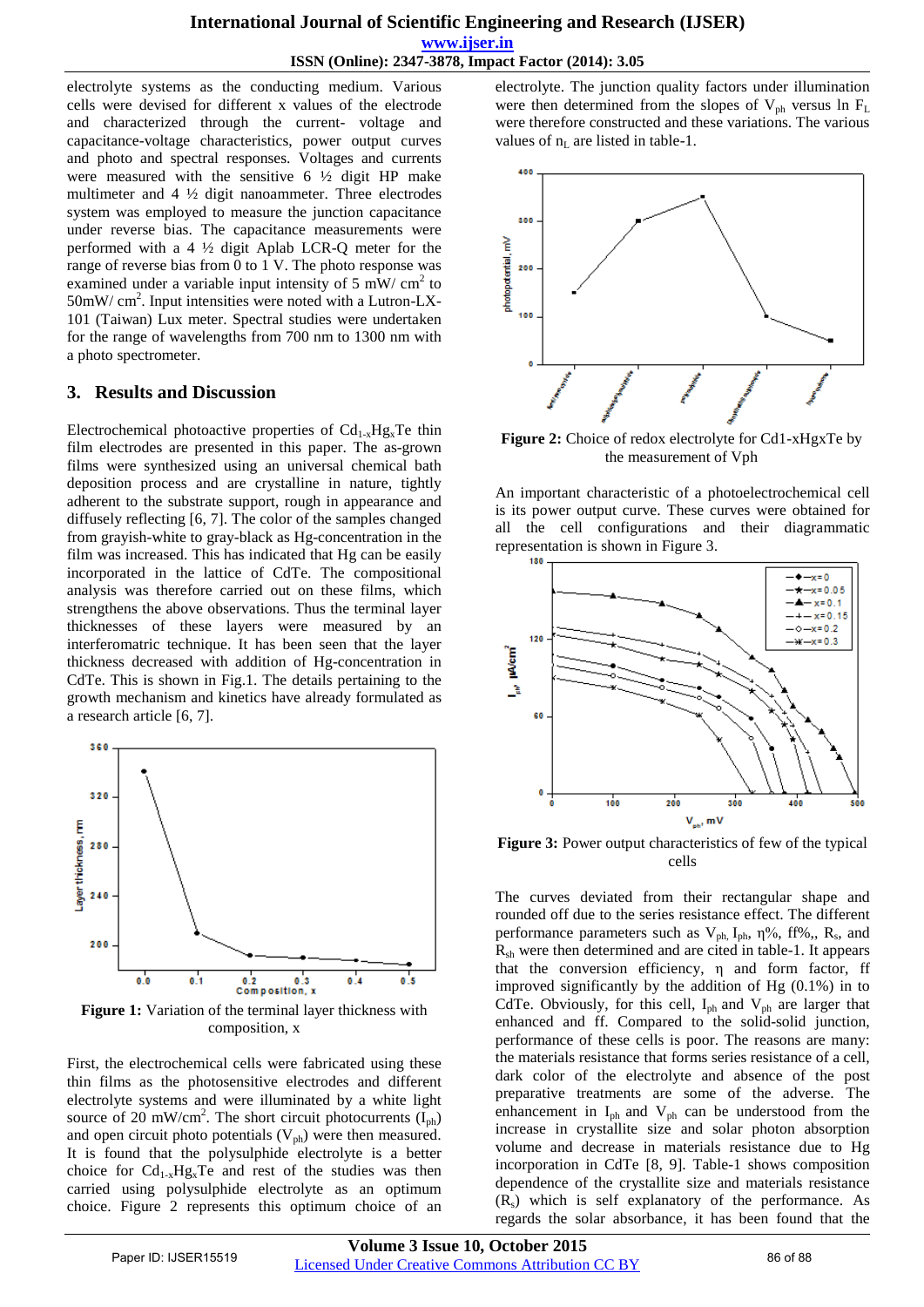electrolyte systems as the conducting medium. Various cells were devised for different x values of the electrode and characterized through the current- voltage and capacitance-voltage characteristics, power output curves and photo and spectral responses. Voltages and currents were measured with the sensitive  $6\frac{1}{2}$  digit HP make multimeter and 4 ½ digit nanoammeter. Three electrodes system was employed to measure the junction capacitance under reverse bias. The capacitance measurements were performed with a 4 ½ digit Aplab LCR-Q meter for the range of reverse bias from 0 to 1 V. The photo response was examined under a variable input intensity of 5 mW/  $\text{cm}^2$  to  $50$ mW/ cm<sup>2</sup>. Input intensities were noted with a Lutron-LX-101 (Taiwan) Lux meter. Spectral studies were undertaken for the range of wavelengths from 700 nm to 1300 nm with a photo spectrometer.

#### **3. Results and Discussion**

Electrochemical photoactive properties of  $Cd_{1-x}Hg_xTe$  thin film electrodes are presented in this paper. The as-grown films were synthesized using an universal chemical bath deposition process and are crystalline in nature, tightly adherent to the substrate support, rough in appearance and diffusely reflecting [6, 7]. The color of the samples changed from grayish-white to gray-black as Hg-concentration in the film was increased. This has indicated that Hg can be easily incorporated in the lattice of CdTe. The compositional analysis was therefore carried out on these films, which strengthens the above observations. Thus the terminal layer thicknesses of these layers were measured by an interferomatric technique. It has been seen that the layer thickness decreased with addition of Hg-concentration in CdTe. This is shown in Fig.1. The details pertaining to the growth mechanism and kinetics have already formulated as a research article [6, 7].



**Figure 1:** Variation of the terminal layer thickness with composition, x

First, the electrochemical cells were fabricated using these thin films as the photosensitive electrodes and different electrolyte systems and were illuminated by a white light source of 20 mW/cm<sup>2</sup>. The short circuit photocurrents  $(I_{ph})$ and open circuit photo potentials  $(V_{ph})$  were then measured. It is found that the polysulphide electrolyte is a better choice for  $Cd_{1-x}Hg_xTe$  and rest of the studies was then carried using polysulphide electrolyte as an optimum choice. Figure 2 represents this optimum choice of an

electrolyte. The junction quality factors under illumination were then determined from the slopes of  $V_{ph}$  versus ln  $F_L$ were therefore constructed and these variations. The various values of  $n<sub>L</sub>$  are listed in table-1.



**Figure 2:** Choice of redox electrolyte for Cd1-xHgxTe by the measurement of Vph

An important characteristic of a photoelectrochemical cell is its power output curve. These curves were obtained for all the cell configurations and their diagrammatic representation is shown in Figure 3.



Figure 3: Power output characteristics of few of the typical cells

The curves deviated from their rectangular shape and rounded off due to the series resistance effect. The different performance parameters such as  $V_{ph}$ ,  $I_{ph}$ ,  $\eta\%$ , ff%,,  $R_s$ , and Rsh were then determined and are cited in table-1. It appears that the conversion efficiency, η and form factor, ff improved significantly by the addition of Hg (0.1%) in to CdTe. Obviously, for this cell,  $I_{ph}$  and  $V_{ph}$  are larger that enhanced and ff. Compared to the solid-solid junction, performance of these cells is poor. The reasons are many: the materials resistance that forms series resistance of a cell, dark color of the electrolyte and absence of the post preparative treatments are some of the adverse. The enhancement in  $I_{ph}$  and  $V_{ph}$  can be understood from the increase in crystallite size and solar photon absorption volume and decrease in materials resistance due to Hg incorporation in CdTe [8, 9]. Table-1 shows composition dependence of the crystallite size and materials resistance  $(R<sub>s</sub>)$  which is self explanatory of the performance. As regards the solar absorbance, it has been found that the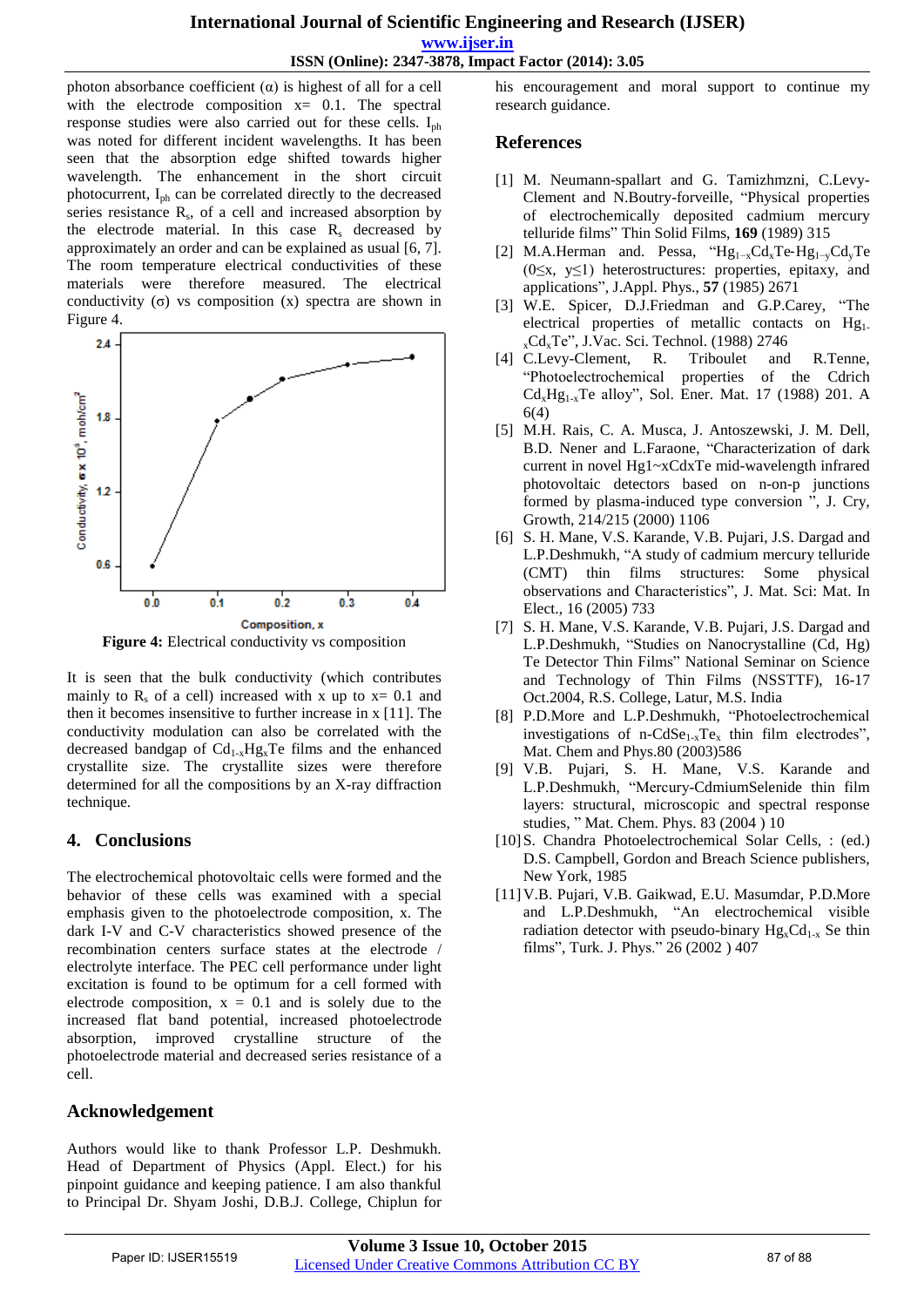## **International Journal of Scientific Engineering and Research (IJSER)**

**www.ijser.in**

photon absorbance coefficient  $(\alpha)$  is highest of all for a cell with the electrode composition  $x= 0.1$ . The spectral response studies were also carried out for these cells.  $I_{\text{ph}}$ was noted for different incident wavelengths. It has been seen that the absorption edge shifted towards higher wavelength. The enhancement in the short circuit photocurrent, Iph can be correlated directly to the decreased series resistance  $R_s$ , of a cell and increased absorption by the electrode material. In this case  $R_s$  decreased by approximately an order and can be explained as usual [6, 7]. The room temperature electrical conductivities of these materials were therefore measured. The electrical conductivity  $(\sigma)$  vs composition (x) spectra are shown in Figure 4.





It is seen that the bulk conductivity (which contributes mainly to  $R_s$  of a cell) increased with x up to  $x=0.1$  and then it becomes insensitive to further increase in x [11]. The conductivity modulation can also be correlated with the decreased bandgap of  $Cd_{1-x}Hg_xTe$  films and the enhanced crystallite size. The crystallite sizes were therefore determined for all the compositions by an X-ray diffraction technique.

## **4. Conclusions**

The electrochemical photovoltaic cells were formed and the behavior of these cells was examined with a special emphasis given to the photoelectrode composition, x. The dark I-V and C-V characteristics showed presence of the recombination centers surface states at the electrode / electrolyte interface. The PEC cell performance under light excitation is found to be optimum for a cell formed with electrode composition,  $x = 0.1$  and is solely due to the increased flat band potential, increased photoelectrode absorption, improved crystalline structure of the photoelectrode material and decreased series resistance of a cell.

## **Acknowledgement**

Authors would like to thank Professor L.P. Deshmukh. Head of Department of Physics (Appl. Elect.) for his pinpoint guidance and keeping patience. I am also thankful to Principal Dr. Shyam Joshi, D.B.J. College, Chiplun for his encouragement and moral support to continue my research guidance.

#### **References**

- [1] M. Neumann-spallart and G. Tamizhmzni, C.Levy-Clement and N.Boutry-forveille, "Physical properties of electrochemically deposited cadmium mercury telluride films" Thin Solid Films, **169** (1989) 315
- [2] M.A.Herman and. Pessa, "Hg1−xCdxTe‐Hg1−yCdyTe (0≤x, y≤1) heterostructures: properties, epitaxy, and applications", J.Appl. Phys., **57** (1985) 2671
- [3] W.E. Spicer, D.J.Friedman and G.P.Carey, "The electrical properties of metallic contacts on Hg1-  $_{x}Cd_{x}Te$ ", J.Vac. Sci. Technol. (1988) 2746
- [4] C.Levy-Clement, R. Triboulet and R.Tenne, "Photoelectrochemical properties of the Cdrich  $Cd_xHg_{1-x}Te$  alloy", Sol. Ener. Mat. 17 (1988) 201. A 6(4)
- [5] M.H. Rais, C. A. Musca, J. Antoszewski, J. M. Dell, B.D. Nener and L.Faraone, "Characterization of dark current in novel Hg1~xCdxTe mid-wavelength infrared photovoltaic detectors based on n-on-p junctions formed by plasma-induced type conversion ", J. Cry, Growth, 214/215 (2000) 1106
- [6] S. H. Mane, V.S. Karande, V.B. Pujari, J.S. Dargad and L.P.Deshmukh, "A study of cadmium mercury telluride (CMT) thin films structures: Some physical observations and Characteristics", J. Mat. Sci: Mat. In Elect., 16 (2005) 733
- [7] S. H. Mane, V.S. Karande, V.B. Pujari, J.S. Dargad and L.P.Deshmukh, "Studies on Nanocrystalline (Cd, Hg) Te Detector Thin Films" National Seminar on Science and Technology of Thin Films (NSSTTF), 16-17 Oct.2004, R.S. College, Latur, M.S. India
- [8] P.D.More and L.P.Deshmukh, "Photoelectrochemical investigations of n-CdSe<sub>1-x</sub>Te<sub>x</sub> thin film electrodes", Mat. Chem and Phys.80 (2003)586
- [9] V.B. Pujari, S. H. Mane, V.S. Karande and L.P.Deshmukh, "Mercury-CdmiumSelenide thin film layers: structural, microscopic and spectral response studies, " Mat. Chem. Phys. 83 (2004 ) 10
- [10]S. Chandra Photoelectrochemical Solar Cells, : (ed.) D.S. Campbell, Gordon and Breach Science publishers, New York, 1985
- [11]V.B. Pujari, V.B. Gaikwad, E.U. Masumdar, P.D.More and L.P.Deshmukh, "An electrochemical visible radiation detector with pseudo-binary  $Hg_{x}Cd_{1-x}$  Se thin films", Turk. J. Phys." 26 (2002 ) 407